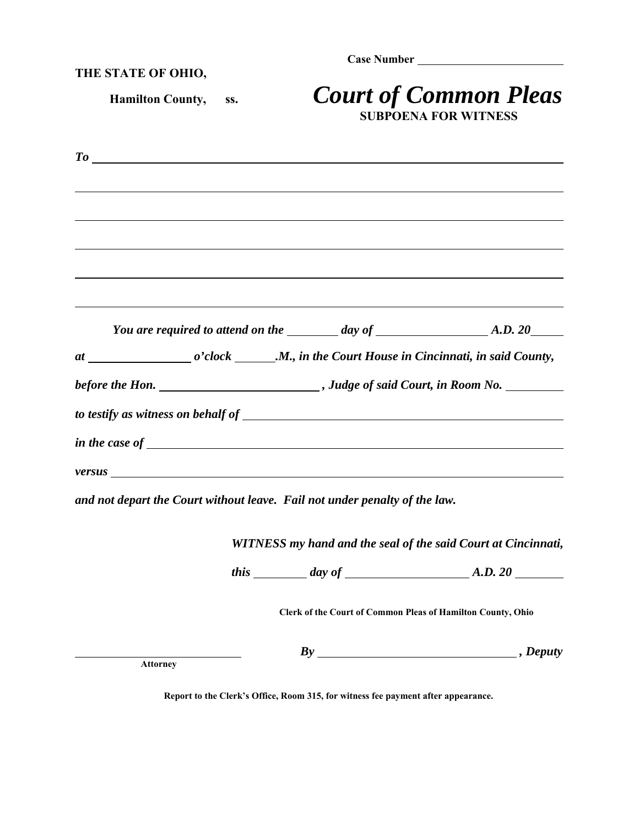**Case Number** 

**THE STATE OF OHIO,**

 **Hamilton County, ss.** *Court of Common Pleas* **SUBPOENA FOR WITNESS**

|                                                                                                                                                                                                                                |  |                                         | You are required to attend on the $\_\_\_\_\_$ day of $\_\_\_\_\_\_$ A.D. 20 |
|--------------------------------------------------------------------------------------------------------------------------------------------------------------------------------------------------------------------------------|--|-----------------------------------------|------------------------------------------------------------------------------|
|                                                                                                                                                                                                                                |  |                                         |                                                                              |
|                                                                                                                                                                                                                                |  |                                         |                                                                              |
|                                                                                                                                                                                                                                |  |                                         |                                                                              |
|                                                                                                                                                                                                                                |  | in the case of $\overline{\phantom{a}}$ |                                                                              |
| versus experience and the contract of the contract of the contract of the contract of the contract of the contract of the contract of the contract of the contract of the contract of the contract of the contract of the cont |  |                                         |                                                                              |
|                                                                                                                                                                                                                                |  |                                         |                                                                              |

*and not depart the Court without leave. Fail not under penalty of the law.* 

*WITNESS my hand and the seal of the said Court at Cincinnati,*

*this day of A.D. 20*

**Clerk of the Court of Common Pleas of Hamilton County, Ohio** 

*By , Deputy* **Attorney** 

**Report to the Clerk's Office, Room 315, for witness fee payment after appearance.**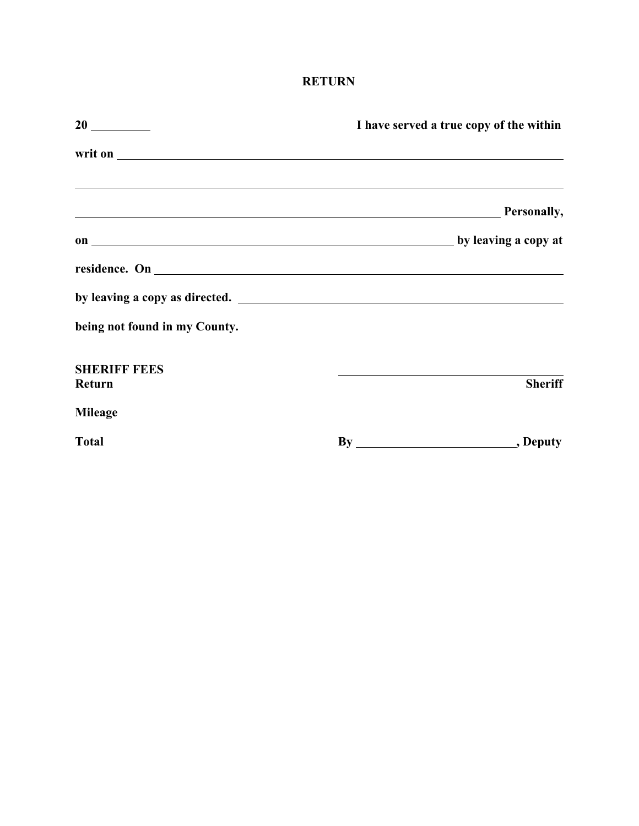## **RETURN**

|                               | I have served a true copy of the within                                                                                                                                                                                                         |
|-------------------------------|-------------------------------------------------------------------------------------------------------------------------------------------------------------------------------------------------------------------------------------------------|
|                               | writ on <u>example and the contract of the contract of the contract of the contract of the contract of the contract of the contract of the contract of the contract of the contract of the contract of the contract of the contr</u>            |
|                               | ,我们也不会有什么。""我们的人,我们也不会有什么?""我们的人,我们也不会有什么?""我们的人,我们也不会有什么?""我们的人,我们也不会有什么?""我们的人<br><b>Example 2</b> Personally,                                                                                                                                |
|                               |                                                                                                                                                                                                                                                 |
|                               |                                                                                                                                                                                                                                                 |
|                               |                                                                                                                                                                                                                                                 |
| being not found in my County. |                                                                                                                                                                                                                                                 |
| <b>SHERIFF FEES</b><br>Return | the control of the control of the control of the control of the control of the control of the control of the control of the control of the control of the control of the control of the control of the control of the control<br><b>Sheriff</b> |
| <b>Mileage</b>                |                                                                                                                                                                                                                                                 |
| <b>Total</b>                  |                                                                                                                                                                                                                                                 |